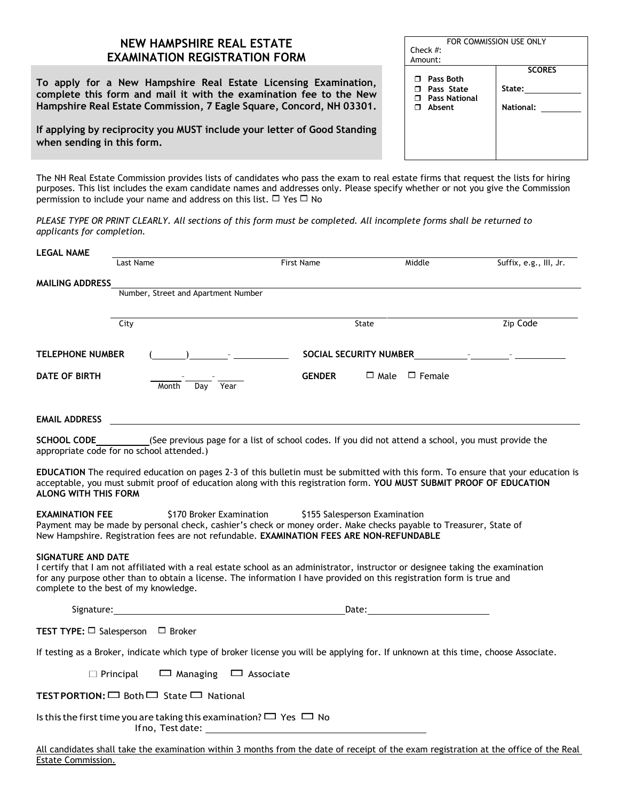## **NEW HAMPSHIRE REAL ESTATE EXAMINATION REGISTRATION FORM**

**To apply for a New Hampshire Real Estate Licensing Examination, complete this form and mail it with the examination fee to the New Hampshire Real Estate Commission, 7 Eagle Square, Concord, NH 03301.**

**If applying by reciprocity you MUST include your letter of Good Standing when sending in this form.**

Estate Commission.

| The NH Real Estate Commission provides lists of candidates who pass the exam to real estate firms that request the lists for hiring |  |
|-------------------------------------------------------------------------------------------------------------------------------------|--|
| purposes. This list includes the exam candidate names and addresses only. Please specify whether or not you give the Commission     |  |
| permission to include your name and address on this list, $\Box$ Yes $\Box$ No                                                      |  |

*PLEASE TYPE OR PRINT CLEARLY. All sections of this form must be completed. All incomplete forms shall be returned to applicants for completion.*

| <b>LEGAL NAME</b>           |                                                               |                                                                                                                                                                                                                                                                            |                           |                        |
|-----------------------------|---------------------------------------------------------------|----------------------------------------------------------------------------------------------------------------------------------------------------------------------------------------------------------------------------------------------------------------------------|---------------------------|------------------------|
|                             | Last Name                                                     | First Name                                                                                                                                                                                                                                                                 | Middle                    | Suffix, e.g., III, Jr. |
| <b>MAILING ADDRESS</b>      |                                                               |                                                                                                                                                                                                                                                                            |                           |                        |
|                             | Number, Street and Apartment Number                           |                                                                                                                                                                                                                                                                            |                           |                        |
|                             | City                                                          | State                                                                                                                                                                                                                                                                      |                           | Zip Code               |
| <b>TELEPHONE NUMBER</b>     |                                                               |                                                                                                                                                                                                                                                                            |                           |                        |
| DATE OF BIRTH               | Day Year<br>Month                                             | <b>GENDER</b>                                                                                                                                                                                                                                                              | $\Box$ Male $\Box$ Female |                        |
| <b>EMAIL ADDRESS</b>        |                                                               |                                                                                                                                                                                                                                                                            |                           |                        |
| <b>SCHOOL CODE</b>          | appropriate code for no school attended.)                     | (See previous page for a list of school codes. If you did not attend a school, you must provide the                                                                                                                                                                        |                           |                        |
| <b>ALONG WITH THIS FORM</b> |                                                               | EDUCATION The required education on pages 2-3 of this bulletin must be submitted with this form. To ensure that your education is<br>acceptable, you must submit proof of education along with this registration form. YOU MUST SUBMIT PROOF OF EDUCATION                  |                           |                        |
| <b>EXAMINATION FEE</b>      |                                                               | \$170 Broker Examination<br>\$155 Salesperson Examination<br>Payment may be made by personal check, cashier's check or money order. Make checks payable to Treasurer, State of<br>New Hampshire. Registration fees are not refundable. EXAMINATION FEES ARE NON-REFUNDABLE |                           |                        |
| <b>SIGNATURE AND DATE</b>   | complete to the best of my knowledge.                         | I certify that I am not affiliated with a real estate school as an administrator, instructor or designee taking the examination<br>for any purpose other than to obtain a license. The information I have provided on this registration form is true and                   |                           |                        |
|                             |                                                               | Signature: Date: Date: Date: Date: Date: Date: Date: Date: Date: Date: Date: Date: Date: Date: Date: Date: Date: Date: Date: Date: Date: Date: Date: Date: Date: Date: Date: Date: Date: Date: Date: Date: Date: Date: Date: D                                             |                           |                        |
|                             | <b>TEST TYPE:</b> $\Box$ Salesperson $\Box$ Broker            |                                                                                                                                                                                                                                                                            |                           |                        |
|                             |                                                               | If testing as a Broker, indicate which type of broker license you will be applying for. If unknown at this time, choose Associate.                                                                                                                                         |                           |                        |
|                             | $\Box$ Principal                                              | $\Box$ Managing $\Box$ Associate                                                                                                                                                                                                                                           |                           |                        |
|                             | <b>TEST PORTION:</b> $\Box$ Both $\Box$ State $\Box$ National |                                                                                                                                                                                                                                                                            |                           |                        |
|                             | If no, Test date:                                             | Is this the first time you are taking this examination? $\Box$ Yes $\Box$ No                                                                                                                                                                                               |                           |                        |
|                             |                                                               | All candidates shall take the examination within 3 months from the date of receipt of the exam registration at the office of the Real                                                                                                                                      |                           |                        |

| FOR COMMISSION USE ONLY |               |  |  |  |
|-------------------------|---------------|--|--|--|
| Check $#$ :             |               |  |  |  |
| Amount:                 |               |  |  |  |
|                         | <b>SCORES</b> |  |  |  |
| <b>Pass Both</b><br>п.  |               |  |  |  |
| $\Box$ Pass State       | State:        |  |  |  |
| <b>T</b> Pass National  |               |  |  |  |
| Absent<br>п.            | National:     |  |  |  |
|                         |               |  |  |  |
|                         |               |  |  |  |
|                         |               |  |  |  |
|                         |               |  |  |  |
|                         |               |  |  |  |